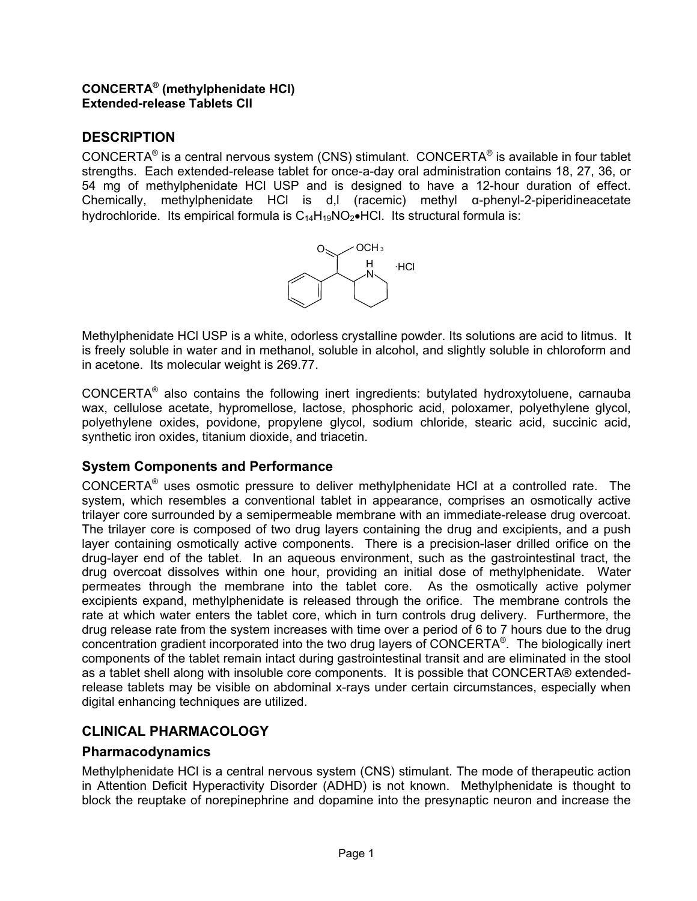### **CONCERTA® (methylphenidate HCl) Extended-release Tablets CII**

# **DESCRIPTION**

CONCERTA<sup>®</sup> is a central nervous system (CNS) stimulant. CONCERTA<sup>®</sup> is available in four tablet strengths. Each extended-release tablet for once-a-day oral administration contains 18, 27, 36, or 54 mg of methylphenidate HCl USP and is designed to have a 12-hour duration of effect. Chemically, methylphenidate HCl is d,l (racemic) methyl α-phenyl-2-piperidineacetate hydrochloride. Its empirical formula is  $C_{14}H_{19}NO_2 \bullet HCl$ . Its structural formula is:



Methylphenidate HCl USP is a white, odorless crystalline powder. Its solutions are acid to litmus. It is freely soluble in water and in methanol, soluble in alcohol, and slightly soluble in chloroform and in acetone. Its molecular weight is 269.77.

CONCERTA® also contains the following inert ingredients: butylated hydroxytoluene, carnauba wax, cellulose acetate, hypromellose, lactose, phosphoric acid, poloxamer, polyethylene glycol, polyethylene oxides, povidone, propylene glycol, sodium chloride, stearic acid, succinic acid, synthetic iron oxides, titanium dioxide, and triacetin.

# **System Components and Performance**

CONCERTA® uses osmotic pressure to deliver methylphenidate HCl at a controlled rate. The system, which resembles a conventional tablet in appearance, comprises an osmotically active trilayer core surrounded by a semipermeable membrane with an immediate-release drug overcoat. The trilayer core is composed of two drug layers containing the drug and excipients, and a push layer containing osmotically active components. There is a precision-laser drilled orifice on the drug-layer end of the tablet. In an aqueous environment, such as the gastrointestinal tract, the drug overcoat dissolves within one hour, providing an initial dose of methylphenidate. Water permeates through the membrane into the tablet core. As the osmotically active polymer excipients expand, methylphenidate is released through the orifice. The membrane controls the rate at which water enters the tablet core, which in turn controls drug delivery. Furthermore, the drug release rate from the system increases with time over a period of 6 to 7 hours due to the drug concentration gradient incorporated into the two drug layers of CONCERTA®. The biologically inert components of the tablet remain intact during gastrointestinal transit and are eliminated in the stool as a tablet shell along with insoluble core components. It is possible that CONCERTA® extendedrelease tablets may be visible on abdominal x-rays under certain circumstances, especially when digital enhancing techniques are utilized.

# **CLINICAL PHARMACOLOGY**

# **Pharmacodynamics**

Methylphenidate HCl is a central nervous system (CNS) stimulant. The mode of therapeutic action in Attention Deficit Hyperactivity Disorder (ADHD) is not known. Methylphenidate is thought to block the reuptake of norepinephrine and dopamine into the presynaptic neuron and increase the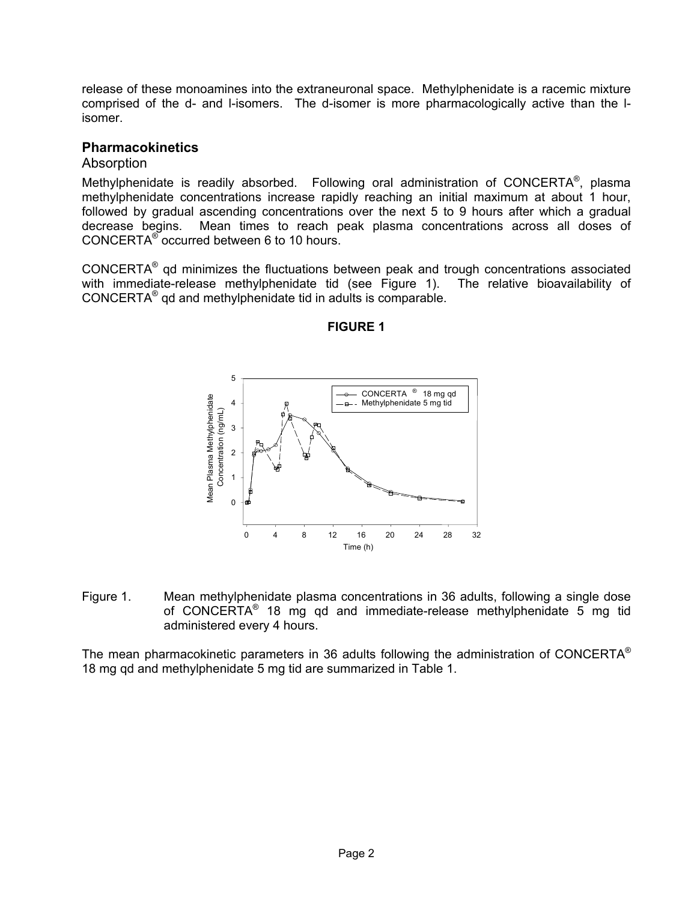release of these monoamines into the extraneuronal space. Methylphenidate is a racemic mixture comprised of the d- and l-isomers. The d-isomer is more pharmacologically active than the lisomer.

#### **Pharmacokinetics**

#### Absorption

Methylphenidate is readily absorbed. Following oral administration of CONCERTA®, plasma methylphenidate concentrations increase rapidly reaching an initial maximum at about 1 hour, followed by gradual ascending concentrations over the next 5 to 9 hours after which a gradual decrease begins. Mean times to reach peak plasma concentrations across all doses of CONCERTA® occurred between 6 to 10 hours.

CONCERTA® qd minimizes the fluctuations between peak and trough concentrations associated with immediate-release methylphenidate tid (see Figure 1). The relative bioavailability of CONCERTA® qd and methylphenidate tid in adults is comparable.



#### **FIGURE 1**

Figure 1. Mean methylphenidate plasma concentrations in 36 adults, following a single dose of CONCERTA® 18 mg qd and immediate-release methylphenidate 5 mg tid administered every 4 hours.

The mean pharmacokinetic parameters in 36 adults following the administration of CONCERTA<sup>®</sup> 18 mg qd and methylphenidate 5 mg tid are summarized in Table 1.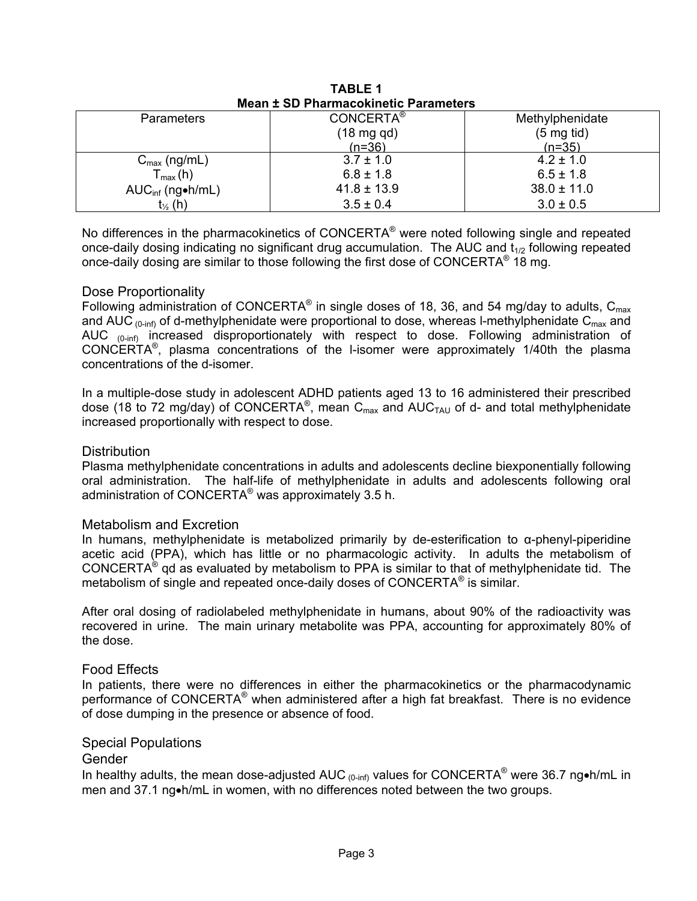| Mean ± SD Pharmacokinetic Parameters |                       |                      |
|--------------------------------------|-----------------------|----------------------|
| <b>Parameters</b>                    | CONCERTA <sup>®</sup> | Methylphenidate      |
|                                      | $(18 \text{ mg}$ qd)  | $(5 \text{ mg tid})$ |
|                                      | $(n=36)$              | $(n=35)$             |
| $C_{\text{max}}$ (ng/mL)             | $3.7 \pm 1.0$         | $4.2 \pm 1.0$        |
| $T_{\text{max}}(h)$                  | $6.8 \pm 1.8$         | $6.5 \pm 1.8$        |
| $AUCinf$ (ng•h/mL)                   | $41.8 \pm 13.9$       | $38.0 \pm 11.0$      |
| $t_{\frac{1}{2}}$ (h)                | $3.5 \pm 0.4$         | $3.0 \pm 0.5$        |

**TABLE 1** 

No differences in the pharmacokinetics of CONCERTA® were noted following single and repeated once-daily dosing indicating no significant drug accumulation. The AUC and  $t_{1/2}$  following repeated once-daily dosing are similar to those following the first dose of CONCERTA<sup>®</sup> 18 mg.

### Dose Proportionality

Following administration of CONCERTA® in single doses of 18, 36, and 54 mg/day to adults,  $C_{max}$ and AUC  $_{(0-inf)}$  of d-methylphenidate were proportional to dose, whereas I-methylphenidate C<sub>max</sub> and AUC  $_{(0-inf)}$  increased disproportionately with respect to dose. Following administration of CONCERTA®, plasma concentrations of the l-isomer were approximately 1/40th the plasma concentrations of the d-isomer.

In a multiple-dose study in adolescent ADHD patients aged 13 to 16 administered their prescribed dose (18 to 72 mg/day) of CONCERTA®, mean  $C_{max}$  and AUC<sub>TAU</sub> of d- and total methylphenidate increased proportionally with respect to dose.

### **Distribution**

Plasma methylphenidate concentrations in adults and adolescents decline biexponentially following oral administration. The half-life of methylphenidate in adults and adolescents following oral administration of CONCERTA® was approximately 3.5 h.

### Metabolism and Excretion

In humans, methylphenidate is metabolized primarily by de-esterification to α-phenyl-piperidine acetic acid (PPA), which has little or no pharmacologic activity. In adults the metabolism of CONCERTA<sup>®</sup> qd as evaluated by metabolism to PPA is similar to that of methylphenidate tid. The metabolism of single and repeated once-daily doses of CONCERTA<sup>®</sup> is similar.

After oral dosing of radiolabeled methylphenidate in humans, about 90% of the radioactivity was recovered in urine. The main urinary metabolite was PPA, accounting for approximately 80% of the dose.

### Food Effects

In patients, there were no differences in either the pharmacokinetics or the pharmacodynamic performance of CONCERTA® when administered after a high fat breakfast. There is no evidence of dose dumping in the presence or absence of food.

#### Special Populations

### Gender

In healthy adults, the mean dose-adjusted AUC  $_{(0\text{-inf})}$  values for CONCERTA® were 36.7 ng•h/mL in men and 37.1 ng•h/mL in women, with no differences noted between the two groups.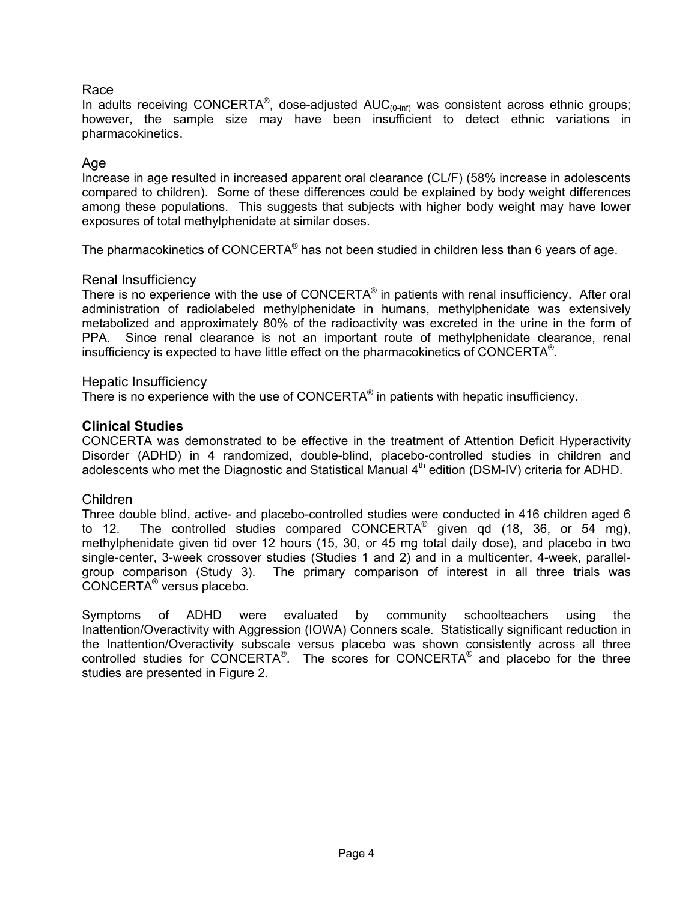### Race

In adults receiving CONCERTA<sup>®</sup>, dose-adjusted  $AUC<sub>(0-inf)</sub>$  was consistent across ethnic groups; however, the sample size may have been insufficient to detect ethnic variations in pharmacokinetics.

### Age

Increase in age resulted in increased apparent oral clearance (CL/F) (58% increase in adolescents compared to children). Some of these differences could be explained by body weight differences among these populations. This suggests that subjects with higher body weight may have lower exposures of total methylphenidate at similar doses.

The pharmacokinetics of CONCERTA<sup>®</sup> has not been studied in children less than 6 years of age.

#### Renal Insufficiency

There is no experience with the use of  $CONCERTA<sup>®</sup>$  in patients with renal insufficiency. After oral administration of radiolabeled methylphenidate in humans, methylphenidate was extensively metabolized and approximately 80% of the radioactivity was excreted in the urine in the form of PPA. Since renal clearance is not an important route of methylphenidate clearance, renal insufficiency is expected to have little effect on the pharmacokinetics of CONCERTA®.

#### Hepatic Insufficiency

There is no experience with the use of CONCERTA<sup>®</sup> in patients with hepatic insufficiency.

#### **Clinical Studies**

CONCERTA was demonstrated to be effective in the treatment of Attention Deficit Hyperactivity Disorder (ADHD) in 4 randomized, double-blind, placebo-controlled studies in children and adolescents who met the Diagnostic and Statistical Manual 4<sup>th</sup> edition (DSM-IV) criteria for ADHD.

#### Children

Three double blind, active- and placebo-controlled studies were conducted in 416 children aged 6 to 12. The controlled studies compared CONCERTA® given qd (18, 36, or 54 mg), methylphenidate given tid over 12 hours (15, 30, or 45 mg total daily dose), and placebo in two single-center, 3-week crossover studies (Studies 1 and 2) and in a multicenter, 4-week, parallelgroup comparison (Study 3). The primary comparison of interest in all three trials was CONCERTA® versus placebo.

Symptoms of ADHD were evaluated by community schoolteachers using the Inattention/Overactivity with Aggression (IOWA) Conners scale. Statistically significant reduction in the Inattention/Overactivity subscale versus placebo was shown consistently across all three controlled studies for CONCERTA®. The scores for CONCERTA® and placebo for the three studies are presented in Figure 2.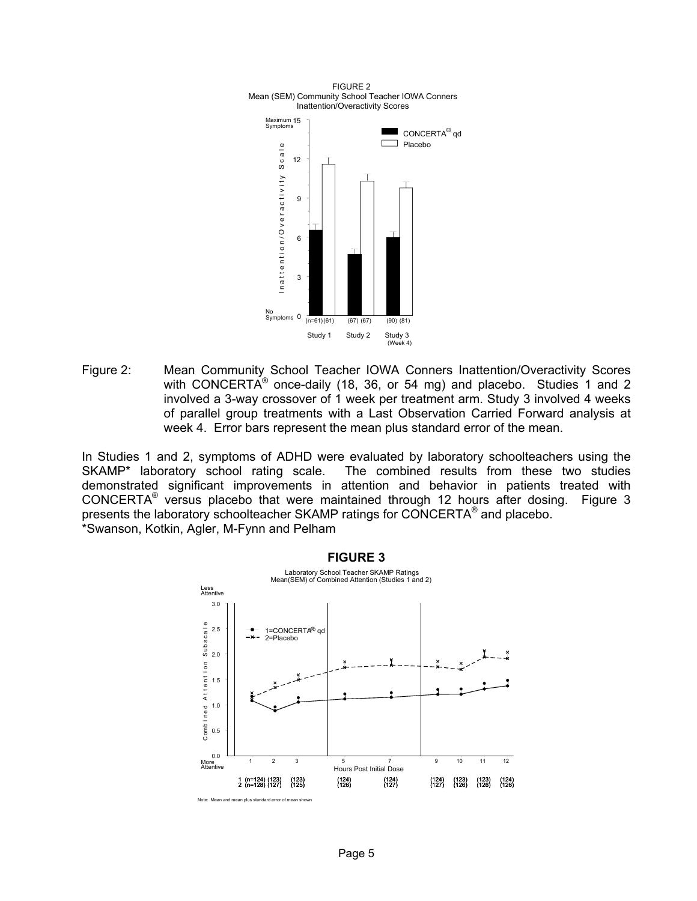FIGURE 2 Mean (SEM) Community School Teacher IOWA Conners Inattention/Overactivity Scores



Figure 2: Mean Community School Teacher IOWA Conners Inattention/Overactivity Scores with CONCERTA<sup>®</sup> once-daily (18, 36, or 54 mg) and placebo. Studies 1 and 2 involved a 3-way crossover of 1 week per treatment arm. Study 3 involved 4 weeks of parallel group treatments with a Last Observation Carried Forward analysis at week 4. Error bars represent the mean plus standard error of the mean.

In Studies 1 and 2, symptoms of ADHD were evaluated by laboratory schoolteachers using the SKAMP\* laboratory school rating scale. The combined results from these two studies demonstrated significant improvements in attention and behavior in patients treated with CONCERTA® versus placebo that were maintained through 12 hours after dosing. Figure 3 presents the laboratory schoolteacher SKAMP ratings for CONCERTA® and placebo. \*Swanson, Kotkin, Agler, M-Fynn and Pelham

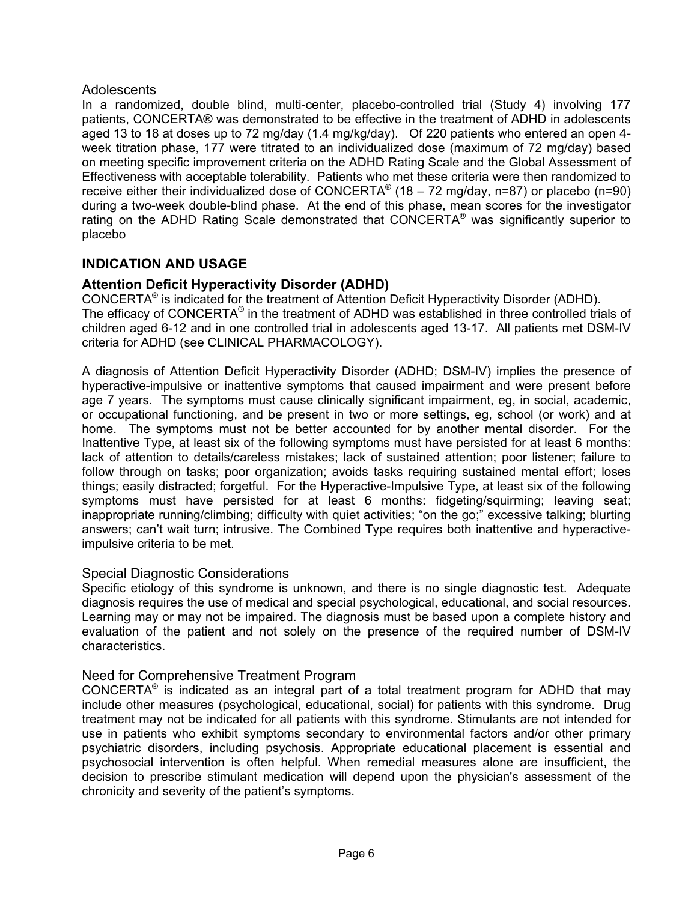### Adolescents

In a randomized, double blind, multi-center, placebo-controlled trial (Study 4) involving 177 patients, CONCERTA® was demonstrated to be effective in the treatment of ADHD in adolescents aged 13 to 18 at doses up to 72 mg/day (1.4 mg/kg/day). Of 220 patients who entered an open 4 week titration phase, 177 were titrated to an individualized dose (maximum of 72 mg/day) based on meeting specific improvement criteria on the ADHD Rating Scale and the Global Assessment of Effectiveness with acceptable tolerability. Patients who met these criteria were then randomized to receive either their individualized dose of CONCERTA<sup>®</sup> (18 – 72 mg/day, n=87) or placebo (n=90) during a two-week double-blind phase. At the end of this phase, mean scores for the investigator rating on the ADHD Rating Scale demonstrated that CONCERTA<sup>®</sup> was significantly superior to placebo

# **INDICATION AND USAGE**

# **Attention Deficit Hyperactivity Disorder (ADHD)**

CONCERTA® is indicated for the treatment of Attention Deficit Hyperactivity Disorder (ADHD). The efficacy of CONCERTA® in the treatment of ADHD was established in three controlled trials of children aged 6-12 and in one controlled trial in adolescents aged 13-17. All patients met DSM-IV criteria for ADHD (see CLINICAL PHARMACOLOGY).

A diagnosis of Attention Deficit Hyperactivity Disorder (ADHD; DSM-IV) implies the presence of hyperactive-impulsive or inattentive symptoms that caused impairment and were present before age 7 years. The symptoms must cause clinically significant impairment, eg, in social, academic, or occupational functioning, and be present in two or more settings, eg, school (or work) and at home. The symptoms must not be better accounted for by another mental disorder. For the Inattentive Type, at least six of the following symptoms must have persisted for at least 6 months: lack of attention to details/careless mistakes; lack of sustained attention; poor listener; failure to follow through on tasks; poor organization; avoids tasks requiring sustained mental effort; loses things; easily distracted; forgetful. For the Hyperactive-Impulsive Type, at least six of the following symptoms must have persisted for at least 6 months: fidgeting/squirming; leaving seat; inappropriate running/climbing; difficulty with quiet activities; "on the go;" excessive talking; blurting answers; can't wait turn; intrusive. The Combined Type requires both inattentive and hyperactiveimpulsive criteria to be met.

# Special Diagnostic Considerations

Specific etiology of this syndrome is unknown, and there is no single diagnostic test. Adequate diagnosis requires the use of medical and special psychological, educational, and social resources. Learning may or may not be impaired. The diagnosis must be based upon a complete history and evaluation of the patient and not solely on the presence of the required number of DSM-IV characteristics.

### Need for Comprehensive Treatment Program

CONCERTA® is indicated as an integral part of a total treatment program for ADHD that may include other measures (psychological, educational, social) for patients with this syndrome. Drug treatment may not be indicated for all patients with this syndrome. Stimulants are not intended for use in patients who exhibit symptoms secondary to environmental factors and/or other primary psychiatric disorders, including psychosis. Appropriate educational placement is essential and psychosocial intervention is often helpful. When remedial measures alone are insufficient, the decision to prescribe stimulant medication will depend upon the physician's assessment of the chronicity and severity of the patient's symptoms.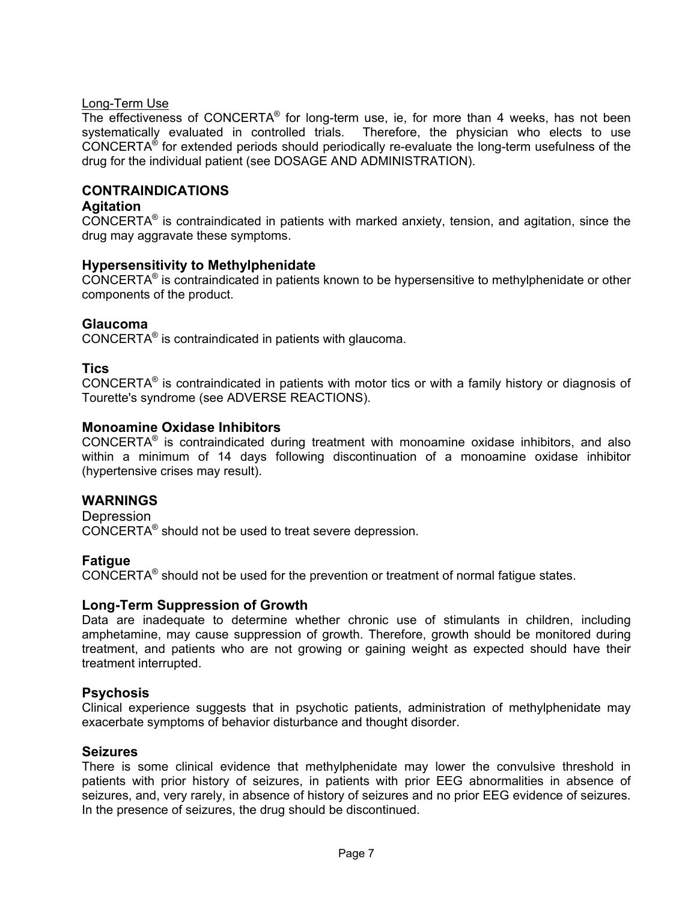### Long-Term Use

The effectiveness of CONCERTA® for long-term use, ie, for more than 4 weeks, has not been systematically evaluated in controlled trials. Therefore, the physician who elects to use CONCERTA® for extended periods should periodically re-evaluate the long-term usefulness of the drug for the individual patient (see DOSAGE AND ADMINISTRATION).

# **CONTRAINDICATIONS**

### **Agitation**

CONCERTA® is contraindicated in patients with marked anxiety, tension, and agitation, since the drug may aggravate these symptoms.

### **Hypersensitivity to Methylphenidate**

CONCERTA® is contraindicated in patients known to be hypersensitive to methylphenidate or other components of the product.

#### **Glaucoma**

CONCERTA® is contraindicated in patients with glaucoma.

### **Tics**

CONCERTA® is contraindicated in patients with motor tics or with a family history or diagnosis of Tourette's syndrome (see ADVERSE REACTIONS).

### **Monoamine Oxidase Inhibitors**

CONCERTA® is contraindicated during treatment with monoamine oxidase inhibitors, and also within a minimum of 14 days following discontinuation of a monoamine oxidase inhibitor (hypertensive crises may result).

### **WARNINGS**

Depression CONCERTA® should not be used to treat severe depression.

### **Fatigue**

CONCERTA® should not be used for the prevention or treatment of normal fatigue states.

### **Long-Term Suppression of Growth**

Data are inadequate to determine whether chronic use of stimulants in children, including amphetamine, may cause suppression of growth. Therefore, growth should be monitored during treatment, and patients who are not growing or gaining weight as expected should have their treatment interrupted.

### **Psychosis**

Clinical experience suggests that in psychotic patients, administration of methylphenidate may exacerbate symptoms of behavior disturbance and thought disorder.

#### **Seizures**

There is some clinical evidence that methylphenidate may lower the convulsive threshold in patients with prior history of seizures, in patients with prior EEG abnormalities in absence of seizures, and, very rarely, in absence of history of seizures and no prior EEG evidence of seizures. In the presence of seizures, the drug should be discontinued.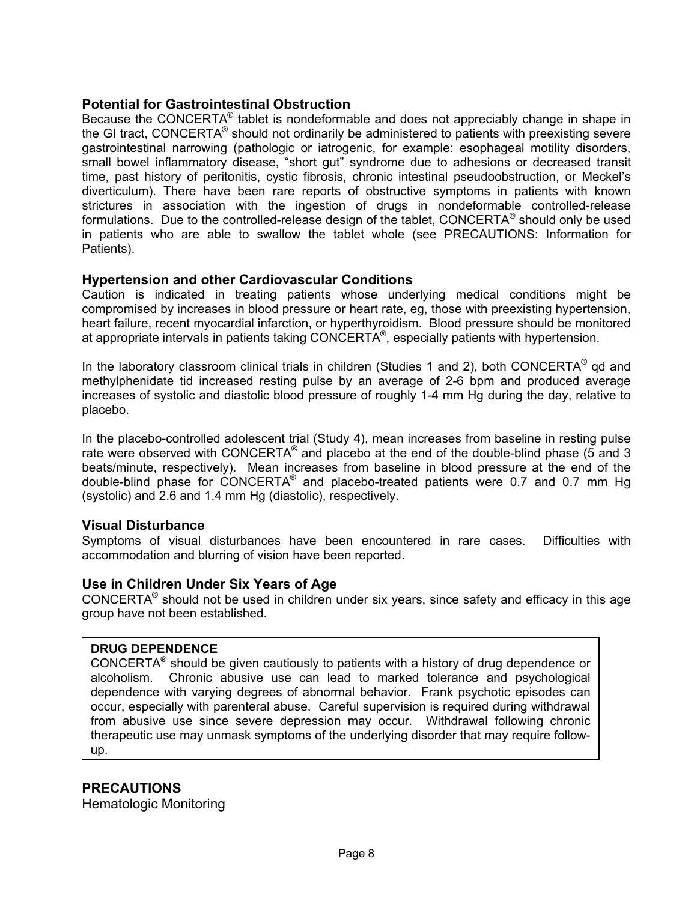### **Potential for Gastrointestinal Obstruction**

Because the CONCERTA<sup>®</sup> tablet is nondeformable and does not appreciably change in shape in the GI tract, CONCERTA® should not ordinarily be administered to patients with preexisting severe gastrointestinal narrowing (pathologic or iatrogenic, for example: esophageal motility disorders, small bowel inflammatory disease, "short gut" syndrome due to adhesions or decreased transit time, past history of peritonitis, cystic fibrosis, chronic intestinal pseudoobstruction, or Meckel's diverticulum). There have been rare reports of obstructive symptoms in patients with known strictures in association with the ingestion of drugs in nondeformable controlled-release formulations. Due to the controlled-release design of the tablet, CONCERTA® should only be used in patients who are able to swallow the tablet whole (see PRECAUTIONS: Information for Patients).

### **Hypertension and other Cardiovascular Conditions**

Caution is indicated in treating patients whose underlying medical conditions might be compromised by increases in blood pressure or heart rate, eg, those with preexisting hypertension, heart failure, recent myocardial infarction, or hyperthyroidism. Blood pressure should be monitored at appropriate intervals in patients taking CONCERTA<sup>®</sup>, especially patients with hypertension.

In the laboratory classroom clinical trials in children (Studies 1 and 2), both CONCERTA® qd and methylphenidate tid increased resting pulse by an average of 2-6 bpm and produced average increases of systolic and diastolic blood pressure of roughly 1-4 mm Hg during the day, relative to placebo.

In the placebo-controlled adolescent trial (Study 4), mean increases from baseline in resting pulse rate were observed with CONCERTA® and placebo at the end of the double-blind phase (5 and 3 beats/minute, respectively). Mean increases from baseline in blood pressure at the end of the double-blind phase for CONCERTA® and placebo-treated patients were 0.7 and 0.7 mm Hg (systolic) and 2.6 and 1.4 mm Hg (diastolic), respectively.

### **Visual Disturbance**

Symptoms of visual disturbances have been encountered in rare cases. Difficulties with accommodation and blurring of vision have been reported.

### **Use in Children Under Six Years of Age**

CONCERTA® should not be used in children under six years, since safety and efficacy in this age group have not been established.

### **DRUG DEPENDENCE**

CONCERTA® should be given cautiously to patients with a history of drug dependence or alcoholism.Chronic abusive use can lead to marked tolerance and psychological dependence with varying degrees of abnormal behavior. Frank psychotic episodes can occur, especially with parenteral abuse. Careful supervision is required during withdrawal from abusive use since severe depression may occur. Withdrawal following chronic therapeutic use may unmask symptoms of the underlying disorder that may require followup.

### **PRECAUTIONS**

Hematologic Monitoring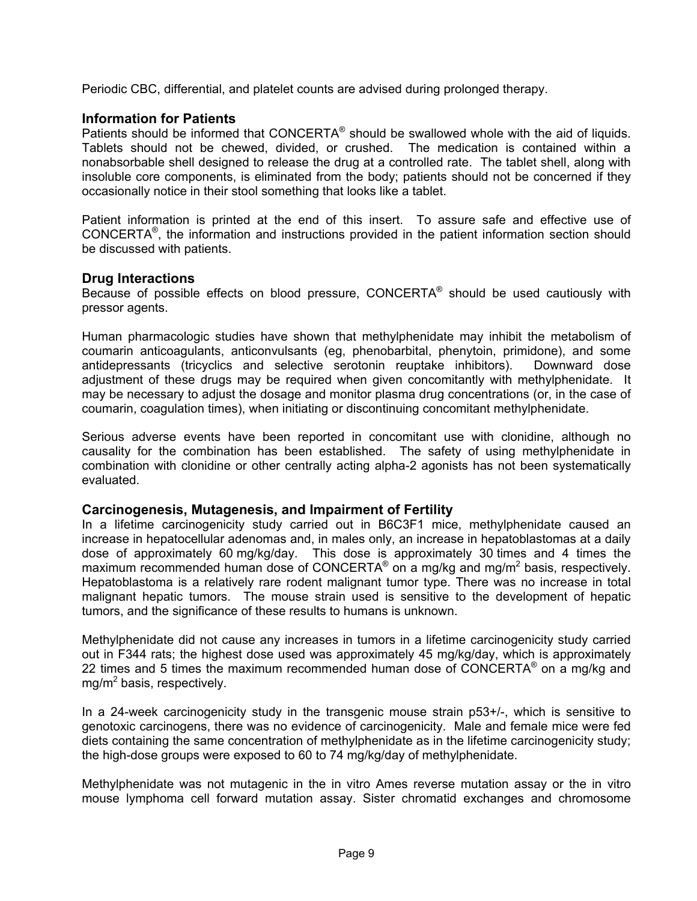Periodic CBC, differential, and platelet counts are advised during prolonged therapy.

### **Information for Patients**

Patients should be informed that CONCERTA<sup>®</sup> should be swallowed whole with the aid of liquids. Tablets should not be chewed, divided, or crushed. The medication is contained within a nonabsorbable shell designed to release the drug at a controlled rate. The tablet shell, along with insoluble core components, is eliminated from the body; patients should not be concerned if they occasionally notice in their stool something that looks like a tablet.

Patient information is printed at the end of this insert. To assure safe and effective use of CONCERTA®, the information and instructions provided in the patient information section should be discussed with patients.

### **Drug Interactions**

Because of possible effects on blood pressure, CONCERTA® should be used cautiously with pressor agents.

Human pharmacologic studies have shown that methylphenidate may inhibit the metabolism of coumarin anticoagulants, anticonvulsants (eg, phenobarbital, phenytoin, primidone), and some antidepressants (tricyclics and selective serotonin reuptake inhibitors). Downward dose adjustment of these drugs may be required when given concomitantly with methylphenidate. It may be necessary to adjust the dosage and monitor plasma drug concentrations (or, in the case of coumarin, coagulation times), when initiating or discontinuing concomitant methylphenidate.

Serious adverse events have been reported in concomitant use with clonidine, although no causality for the combination has been established. The safety of using methylphenidate in combination with clonidine or other centrally acting alpha-2 agonists has not been systematically evaluated.

### **Carcinogenesis, Mutagenesis, and Impairment of Fertility**

In a lifetime carcinogenicity study carried out in B6C3F1 mice, methylphenidate caused an increase in hepatocellular adenomas and, in males only, an increase in hepatoblastomas at a daily dose of approximately 60 mg/kg/day. This dose is approximately 30 times and 4 times the maximum recommended human dose of CONCERTA® on a mg/kg and mg/m<sup>2</sup> basis, respectively. Hepatoblastoma is a relatively rare rodent malignant tumor type. There was no increase in total malignant hepatic tumors. The mouse strain used is sensitive to the development of hepatic tumors, and the significance of these results to humans is unknown.

Methylphenidate did not cause any increases in tumors in a lifetime carcinogenicity study carried out in F344 rats; the highest dose used was approximately 45 mg/kg/day, which is approximately 22 times and 5 times the maximum recommended human dose of CONCERTA® on a mg/kg and mg/m<sup>2</sup> basis, respectively.

In a 24-week carcinogenicity study in the transgenic mouse strain p53+/-, which is sensitive to genotoxic carcinogens, there was no evidence of carcinogenicity. Male and female mice were fed diets containing the same concentration of methylphenidate as in the lifetime carcinogenicity study; the high-dose groups were exposed to 60 to 74 mg/kg/day of methylphenidate.

Methylphenidate was not mutagenic in the in vitro Ames reverse mutation assay or the in vitro mouse lymphoma cell forward mutation assay. Sister chromatid exchanges and chromosome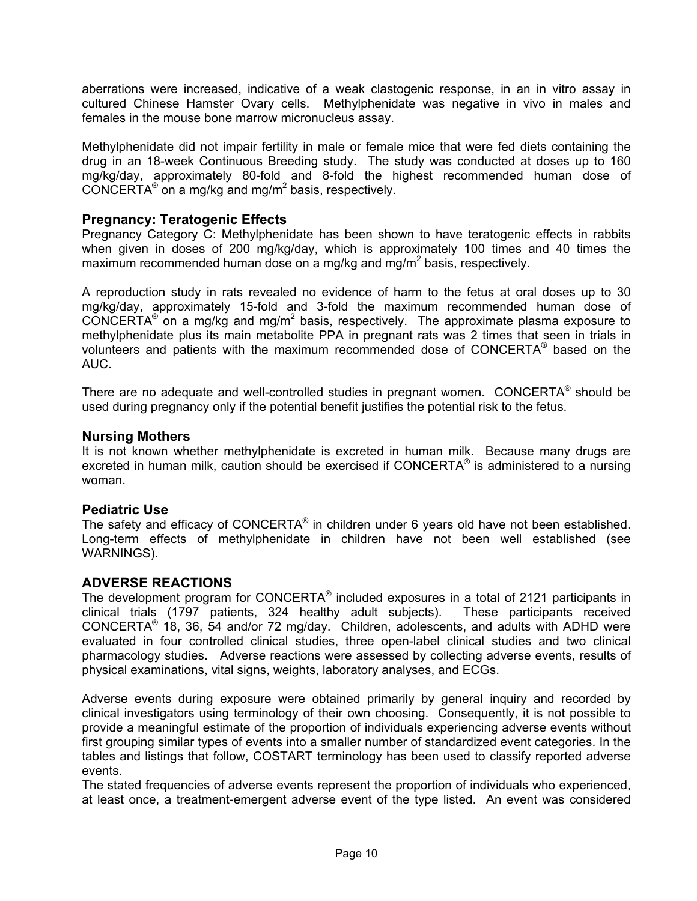aberrations were increased, indicative of a weak clastogenic response, in an in vitro assay in cultured Chinese Hamster Ovary cells. Methylphenidate was negative in vivo in males and females in the mouse bone marrow micronucleus assay.

Methylphenidate did not impair fertility in male or female mice that were fed diets containing the drug in an 18-week Continuous Breeding study. The study was conducted at doses up to 160 mg/kg/day, approximately 80-fold and 8-fold the highest recommended human dose of  $\overline{CONC}$ ERTA® on a mg/kg and mg/m<sup>2</sup> basis, respectively.

### **Pregnancy: Teratogenic Effects**

Pregnancy Category C: Methylphenidate has been shown to have teratogenic effects in rabbits when given in doses of 200 mg/kg/day, which is approximately 100 times and 40 times the maximum recommended human dose on a mg/kg and mg/m<sup>2</sup> basis, respectively.

A reproduction study in rats revealed no evidence of harm to the fetus at oral doses up to 30 mg/kg/day, approximately 15-fold and 3-fold the maximum recommended human dose of CONCERTA<sup>®</sup> on a mg/kg and mg/m<sup>2</sup> basis, respectively. The approximate plasma exposure to methylphenidate plus its main metabolite PPA in pregnant rats was 2 times that seen in trials in volunteers and patients with the maximum recommended dose of CONCERTA® based on the AUC.

There are no adequate and well-controlled studies in pregnant women. CONCERTA® should be used during pregnancy only if the potential benefit justifies the potential risk to the fetus.

### **Nursing Mothers**

It is not known whether methylphenidate is excreted in human milk. Because many drugs are excreted in human milk, caution should be exercised if  $CONCENT<sup>®</sup>$  is administered to a nursing woman.

### **Pediatric Use**

The safety and efficacy of CONCERTA<sup>®</sup> in children under 6 years old have not been established. Long-term effects of methylphenidate in children have not been well established (see WARNINGS).

### **ADVERSE REACTIONS**

The development program for CONCERTA<sup>®</sup> included exposures in a total of 2121 participants in clinical trials (1797 patients, 324 healthy adult subjects). These participants received CONCERTA® 18, 36, 54 and/or 72 mg/day. Children, adolescents, and adults with ADHD were evaluated in four controlled clinical studies, three open-label clinical studies and two clinical pharmacology studies. Adverse reactions were assessed by collecting adverse events, results of physical examinations, vital signs, weights, laboratory analyses, and ECGs.

Adverse events during exposure were obtained primarily by general inquiry and recorded by clinical investigators using terminology of their own choosing. Consequently, it is not possible to provide a meaningful estimate of the proportion of individuals experiencing adverse events without first grouping similar types of events into a smaller number of standardized event categories. In the tables and listings that follow, COSTART terminology has been used to classify reported adverse events.

The stated frequencies of adverse events represent the proportion of individuals who experienced, at least once, a treatment-emergent adverse event of the type listed. An event was considered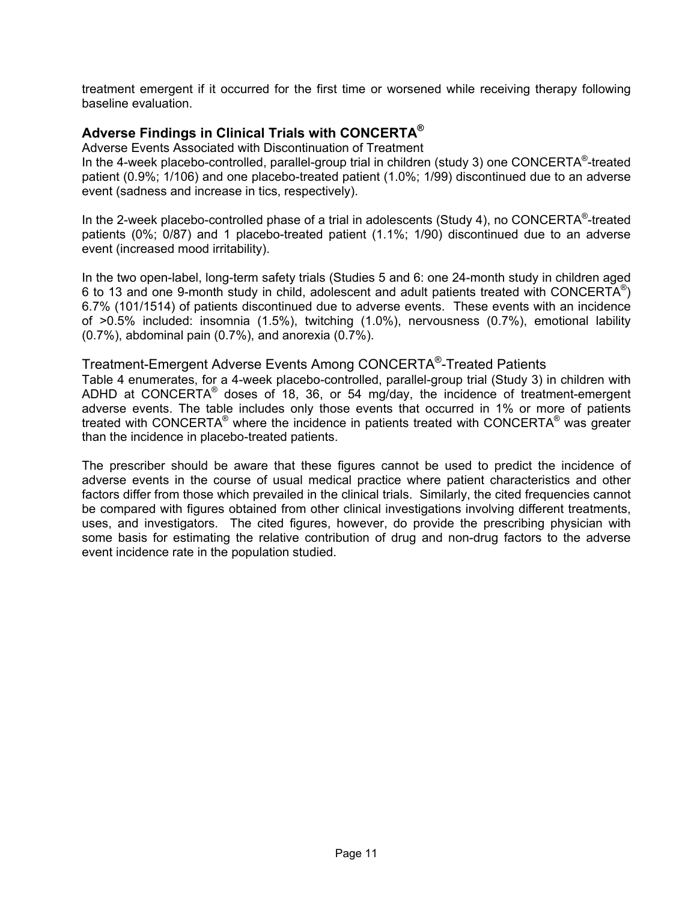treatment emergent if it occurred for the first time or worsened while receiving therapy following baseline evaluation.

# **Adverse Findings in Clinical Trials with CONCERTA®**

Adverse Events Associated with Discontinuation of Treatment

In the 4-week placebo-controlled, parallel-group trial in children (study 3) one CONCERTA<sup>®</sup>-treated patient (0.9%; 1/106) and one placebo-treated patient (1.0%; 1/99) discontinued due to an adverse event (sadness and increase in tics, respectively).

In the 2-week placebo-controlled phase of a trial in adolescents (Study 4), no CONCERTA®-treated patients (0%; 0/87) and 1 placebo-treated patient (1.1%; 1/90) discontinued due to an adverse event (increased mood irritability).

In the two open-label, long-term safety trials (Studies 5 and 6: one 24-month study in children aged 6 to 13 and one 9-month study in child, adolescent and adult patients treated with CONCERTA<sup>®</sup>) 6.7% (101/1514) of patients discontinued due to adverse events. These events with an incidence of >0.5% included: insomnia (1.5%), twitching (1.0%), nervousness (0.7%), emotional lability (0.7%), abdominal pain (0.7%), and anorexia (0.7%).

### Treatment-Emergent Adverse Events Among CONCERTA®-Treated Patients

Table 4 enumerates, for a 4-week placebo-controlled, parallel-group trial (Study 3) in children with ADHD at CONCERTA<sup>®</sup> doses of 18, 36, or 54 mg/day, the incidence of treatment-emergent adverse events. The table includes only those events that occurred in 1% or more of patients treated with CONCERTA® where the incidence in patients treated with CONCERTA® was greater than the incidence in placebo-treated patients.

The prescriber should be aware that these figures cannot be used to predict the incidence of adverse events in the course of usual medical practice where patient characteristics and other factors differ from those which prevailed in the clinical trials. Similarly, the cited frequencies cannot be compared with figures obtained from other clinical investigations involving different treatments, uses, and investigators. The cited figures, however, do provide the prescribing physician with some basis for estimating the relative contribution of drug and non-drug factors to the adverse event incidence rate in the population studied.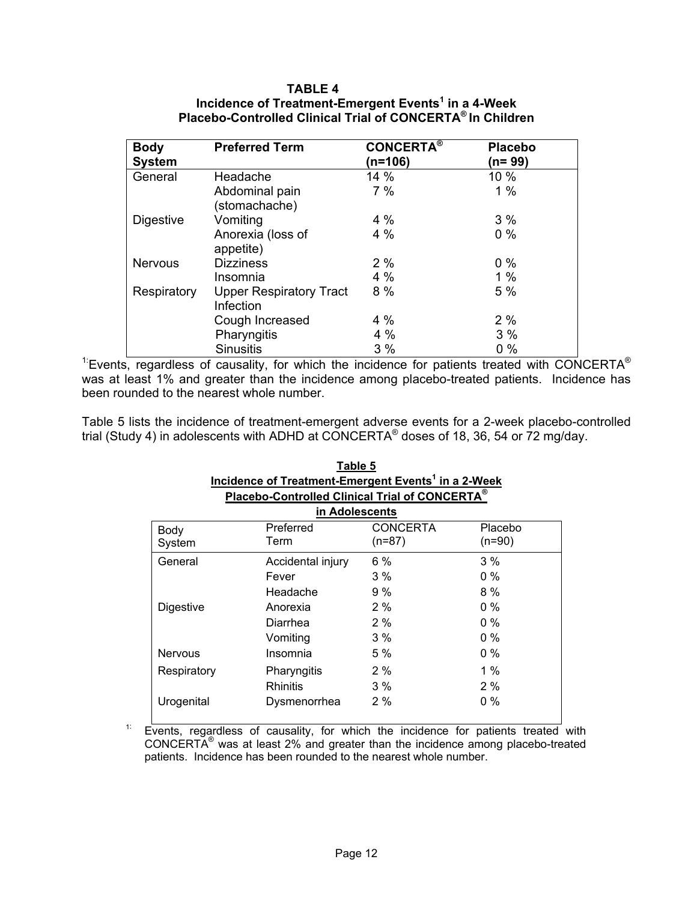### **TABLE 4**

| <b>Body</b><br><b>System</b> | <b>Preferred Term</b>                       | <b>CONCERTA®</b><br>(n=106) | <b>Placebo</b><br>(n= 99) |
|------------------------------|---------------------------------------------|-----------------------------|---------------------------|
| General                      | Headache                                    | 14 %                        | 10 %                      |
|                              | Abdominal pain<br>(stomachache)             | 7%                          | 1%                        |
| <b>Digestive</b>             | Vomiting                                    | 4%                          | 3%                        |
|                              | Anorexia (loss of<br>appetite)              | 4%                          | $0\%$                     |
| <b>Nervous</b>               | <b>Dizziness</b>                            | 2%                          | $0\%$                     |
|                              | Insomnia                                    | 4%                          | 1%                        |
| Respiratory                  | <b>Upper Respiratory Tract</b><br>Infection | 8%                          | 5%                        |
|                              | Cough Increased                             | 4%                          | 2%                        |
|                              | Pharyngitis                                 | 4%                          | 3%                        |
|                              | <b>Sinusitis</b>                            | 3%                          | $0\%$                     |

#### **Incidence of Treatment-Emergent Events<sup>1</sup> in a 4-Week Placebo-Controlled Clinical Trial of CONCERTA® In Children**

<sup>1</sup> Events, regardless of causality, for which the incidence for patients treated with CONCERTA<sup>®</sup> was at least 1% and greater than the incidence among placebo-treated patients. Incidence has been rounded to the nearest whole number.

Table 5 lists the incidence of treatment-emergent adverse events for a 2-week placebo-controlled trial (Study 4) in adolescents with ADHD at CONCERTA® doses of 18, 36, 54 or 72 mg/day.

|                                                                 | Table 5                                        |                             |                     |  |
|-----------------------------------------------------------------|------------------------------------------------|-----------------------------|---------------------|--|
| Incidence of Treatment-Emergent Events <sup>1</sup> in a 2-Week |                                                |                             |                     |  |
|                                                                 | Placebo-Controlled Clinical Trial of CONCERTA® |                             |                     |  |
|                                                                 | in Adolescents                                 |                             |                     |  |
| Body<br>System                                                  | Preferred<br>Term                              | <b>CONCERTA</b><br>$(n=87)$ | Placebo<br>$(n=90)$ |  |
| General                                                         | Accidental injury                              | 6 %                         | 3 %                 |  |
|                                                                 | Fever                                          | 3%                          | $0\%$               |  |
|                                                                 | Headache                                       | $9\%$                       | $8\%$               |  |
| Digestive                                                       | Anorexia                                       | $2\%$                       | $0\%$               |  |
|                                                                 | Diarrhea                                       | 2%                          | $0\%$               |  |
|                                                                 | Vomiting                                       | 3%                          | $0\%$               |  |
| Nervous                                                         | Insomnia                                       | 5%                          | $0\%$               |  |
| Respiratory                                                     | Pharyngitis                                    | 2%                          | 1%                  |  |
|                                                                 | <b>Rhinitis</b>                                | 3%                          | 2%                  |  |
| Urogenital                                                      | Dysmenorrhea                                   | 2%                          | $0\%$               |  |

<sup>1:</sup> Events, regardless of causality, for which the incidence for patients treated with  $CONCERTA<sup>®</sup>$  was at least 2% and greater than the incidence among placebo-treated patients. Incidence has been rounded to the nearest whole number.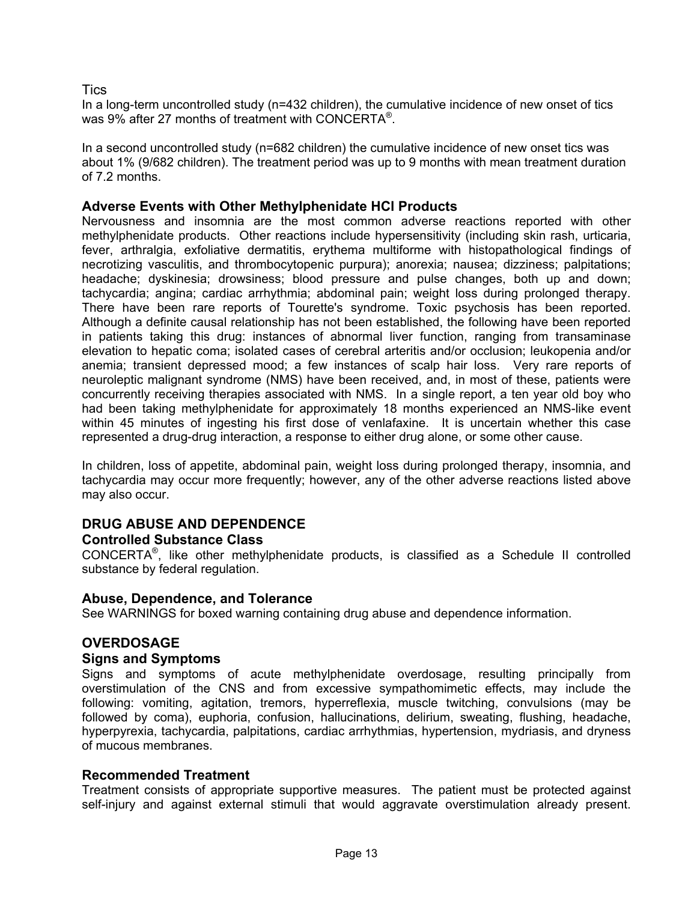### **Tics**

In a long-term uncontrolled study (n=432 children), the cumulative incidence of new onset of tics was 9% after 27 months of treatment with CONCERTA<sup>®</sup>.

In a second uncontrolled study (n=682 children) the cumulative incidence of new onset tics was about 1% (9/682 children). The treatment period was up to 9 months with mean treatment duration of 7.2 months.

### **Adverse Events with Other Methylphenidate HCl Products**

Nervousness and insomnia are the most common adverse reactions reported with other methylphenidate products. Other reactions include hypersensitivity (including skin rash, urticaria, fever, arthralgia, exfoliative dermatitis, erythema multiforme with histopathological findings of necrotizing vasculitis, and thrombocytopenic purpura); anorexia; nausea; dizziness; palpitations; headache; dyskinesia; drowsiness; blood pressure and pulse changes, both up and down; tachycardia; angina; cardiac arrhythmia; abdominal pain; weight loss during prolonged therapy. There have been rare reports of Tourette's syndrome. Toxic psychosis has been reported. Although a definite causal relationship has not been established, the following have been reported in patients taking this drug: instances of abnormal liver function, ranging from transaminase elevation to hepatic coma; isolated cases of cerebral arteritis and/or occlusion; leukopenia and/or anemia; transient depressed mood; a few instances of scalp hair loss. Very rare reports of neuroleptic malignant syndrome (NMS) have been received, and, in most of these, patients were concurrently receiving therapies associated with NMS. In a single report, a ten year old boy who had been taking methylphenidate for approximately 18 months experienced an NMS-like event within 45 minutes of ingesting his first dose of venlafaxine. It is uncertain whether this case represented a drug-drug interaction, a response to either drug alone, or some other cause.

In children, loss of appetite, abdominal pain, weight loss during prolonged therapy, insomnia, and tachycardia may occur more frequently; however, any of the other adverse reactions listed above may also occur.

# **DRUG ABUSE AND DEPENDENCE**

### **Controlled Substance Class**

CONCERTA®, like other methylphenidate products, is classified as a Schedule II controlled substance by federal regulation.

### **Abuse, Dependence, and Tolerance**

See WARNINGS for boxed warning containing drug abuse and dependence information.

# **OVERDOSAGE**

### **Signs and Symptoms**

Signs and symptoms of acute methylphenidate overdosage, resulting principally from overstimulation of the CNS and from excessive sympathomimetic effects, may include the following: vomiting, agitation, tremors, hyperreflexia, muscle twitching, convulsions (may be followed by coma), euphoria, confusion, hallucinations, delirium, sweating, flushing, headache, hyperpyrexia, tachycardia, palpitations, cardiac arrhythmias, hypertension, mydriasis, and dryness of mucous membranes.

### **Recommended Treatment**

Treatment consists of appropriate supportive measures. The patient must be protected against self-injury and against external stimuli that would aggravate overstimulation already present.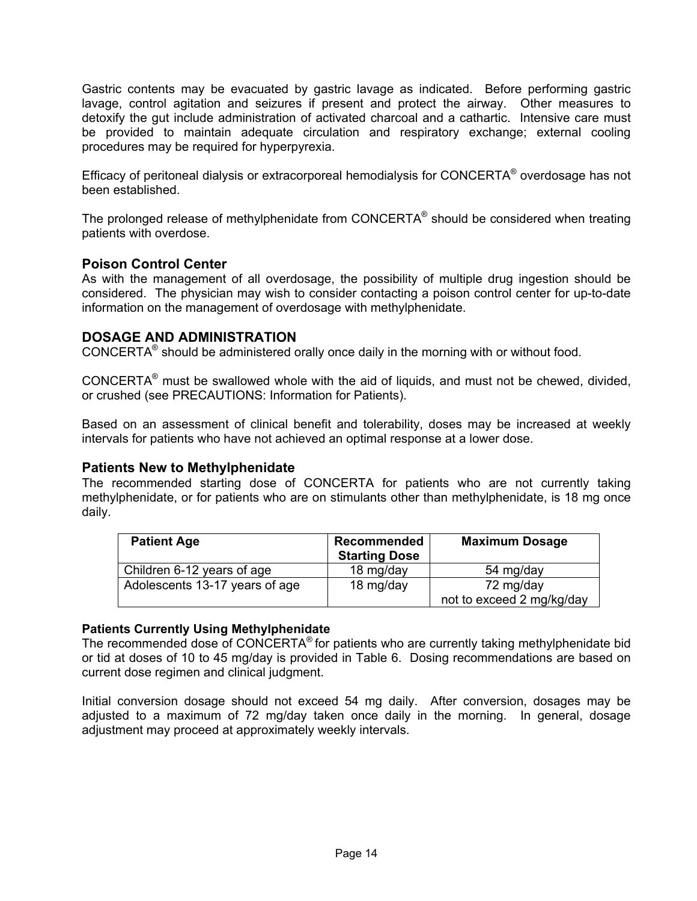Gastric contents may be evacuated by gastric lavage as indicated. Before performing gastric lavage, control agitation and seizures if present and protect the airway. Other measures to detoxify the gut include administration of activated charcoal and a cathartic. Intensive care must be provided to maintain adequate circulation and respiratory exchange; external cooling procedures may be required for hyperpyrexia.

Efficacy of peritoneal dialysis or extracorporeal hemodialysis for CONCERTA® overdosage has not been established.

The prolonged release of methylphenidate from CONCERTA<sup>®</sup> should be considered when treating patients with overdose.

### **Poison Control Center**

As with the management of all overdosage, the possibility of multiple drug ingestion should be considered. The physician may wish to consider contacting a poison control center for up-to-date information on the management of overdosage with methylphenidate.

# **DOSAGE AND ADMINISTRATION**

CONCERTA® should be administered orally once daily in the morning with or without food.

CONCERTA® must be swallowed whole with the aid of liquids, and must not be chewed, divided, or crushed (see PRECAUTIONS: Information for Patients).

Based on an assessment of clinical benefit and tolerability, doses may be increased at weekly intervals for patients who have not achieved an optimal response at a lower dose.

### **Patients New to Methylphenidate**

The recommended starting dose of CONCERTA for patients who are not currently taking methylphenidate, or for patients who are on stimulants other than methylphenidate, is 18 mg once daily.

| <b>Patient Age</b>             | Recommended<br><b>Starting Dose</b> | <b>Maximum Dosage</b>                  |
|--------------------------------|-------------------------------------|----------------------------------------|
| Children 6-12 years of age     | 18 mg/day                           | 54 mg/day                              |
| Adolescents 13-17 years of age | 18 mg/day                           | 72 mg/day<br>not to exceed 2 mg/kg/day |

### **Patients Currently Using Methylphenidate**

The recommended dose of CONCERTA<sup>®</sup> for patients who are currently taking methylphenidate bid or tid at doses of 10 to 45 mg/day is provided in Table 6. Dosing recommendations are based on current dose regimen and clinical judgment.

Initial conversion dosage should not exceed 54 mg daily. After conversion, dosages may be adjusted to a maximum of 72 mg/day taken once daily in the morning. In general, dosage adjustment may proceed at approximately weekly intervals.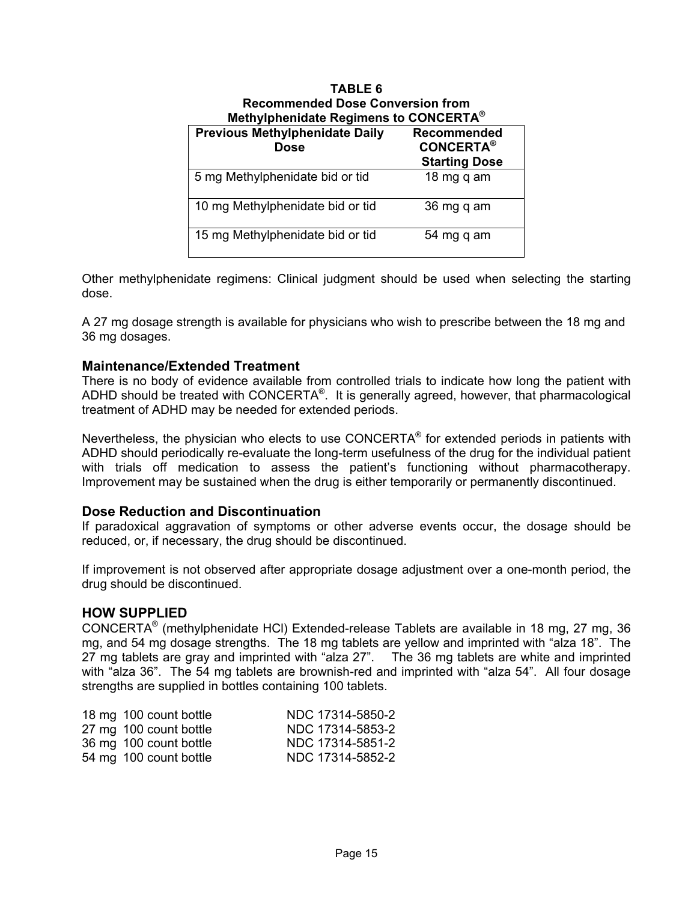| <b>TABLE 6</b><br><b>Recommended Dose Conversion from</b>   |                      |  |
|-------------------------------------------------------------|----------------------|--|
|                                                             |                      |  |
| <b>Previous Methylphenidate Daily</b><br><b>Recommended</b> |                      |  |
| <b>Dose</b>                                                 | <b>CONCERTA®</b>     |  |
|                                                             | <b>Starting Dose</b> |  |
| 5 mg Methylphenidate bid or tid                             | 18 mg q am           |  |
| 10 mg Methylphenidate bid or tid                            | 36 mg q am           |  |
| 15 mg Methylphenidate bid or tid                            | 54 mg q am           |  |

Other methylphenidate regimens: Clinical judgment should be used when selecting the starting dose.

A 27 mg dosage strength is available for physicians who wish to prescribe between the 18 mg and 36 mg dosages.

### **Maintenance/Extended Treatment**

There is no body of evidence available from controlled trials to indicate how long the patient with ADHD should be treated with CONCERTA®. It is generally agreed, however, that pharmacological treatment of ADHD may be needed for extended periods.

Nevertheless, the physician who elects to use CONCERTA<sup>®</sup> for extended periods in patients with ADHD should periodically re-evaluate the long-term usefulness of the drug for the individual patient with trials off medication to assess the patient's functioning without pharmacotherapy. Improvement may be sustained when the drug is either temporarily or permanently discontinued.

### **Dose Reduction and Discontinuation**

If paradoxical aggravation of symptoms or other adverse events occur, the dosage should be reduced, or, if necessary, the drug should be discontinued.

If improvement is not observed after appropriate dosage adjustment over a one-month period, the drug should be discontinued.

### **HOW SUPPLIED**

CONCERTA® (methylphenidate HCl) Extended-release Tablets are available in 18 mg, 27 mg, 36 mg, and 54 mg dosage strengths. The 18 mg tablets are yellow and imprinted with "alza 18". The 27 mg tablets are gray and imprinted with "alza 27". The 36 mg tablets are white and imprinted with "alza 36". The 54 mg tablets are brownish-red and imprinted with "alza 54". All four dosage strengths are supplied in bottles containing 100 tablets.

| 18 mg 100 count bottle | NDC 17314-5850-2 |
|------------------------|------------------|
| 27 mg 100 count bottle | NDC 17314-5853-2 |
| 36 mg 100 count bottle | NDC 17314-5851-2 |
| 54 mg 100 count bottle | NDC 17314-5852-2 |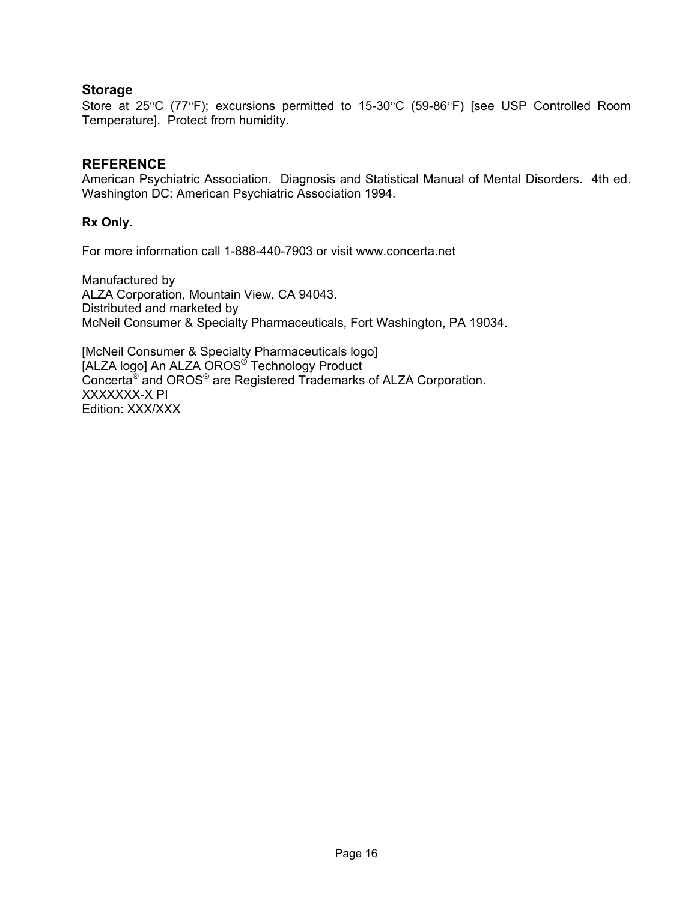### **Storage**

Store at 25°C (77°F); excursions permitted to 15-30°C (59-86°F) [see USP Controlled Room Temperature]. Protect from humidity.

### **REFERENCE**

American Psychiatric Association. Diagnosis and Statistical Manual of Mental Disorders. 4th ed. Washington DC: American Psychiatric Association 1994.

#### **Rx Only.**

For more information call 1-888-440-7903 or visit www.concerta.net

Manufactured by ALZA Corporation, Mountain View, CA 94043. Distributed and marketed by McNeil Consumer & Specialty Pharmaceuticals, Fort Washington, PA 19034.

[McNeil Consumer & Specialty Pharmaceuticals logo] [ALZA logo] An ALZA OROS<sup>®</sup> Technology Product Concerta® and OROS® are Registered Trademarks of ALZA Corporation. XXXXXXX-X PI Edition: XXX/XXX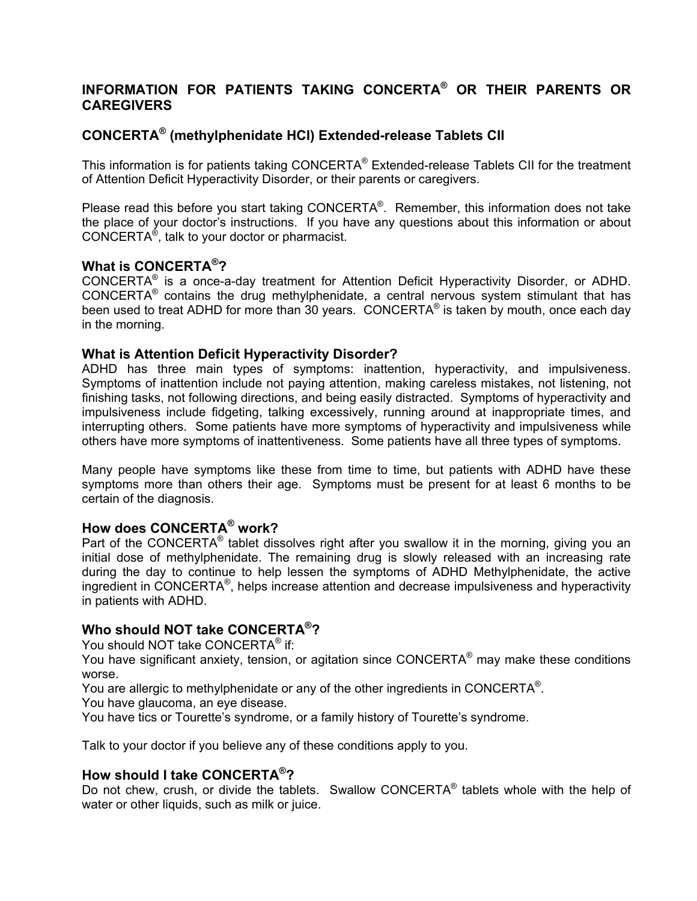# **INFORMATION FOR PATIENTS TAKING CONCERTA® OR THEIR PARENTS OR CAREGIVERS**

# **CONCERTA® (methylphenidate HCl) Extended-release Tablets CII**

This information is for patients taking CONCERTA® Extended-release Tablets CII for the treatment of Attention Deficit Hyperactivity Disorder, or their parents or caregivers.

Please read this before you start taking CONCERTA®. Remember, this information does not take the place of your doctor's instructions. If you have any questions about this information or about CONCERTA®, talk to your doctor or pharmacist.

### **What is CONCERTA®?**

CONCERTA® is a once-a-day treatment for Attention Deficit Hyperactivity Disorder, or ADHD.  $CONCERTA<sup>®</sup>$  contains the drug methylphenidate, a central nervous system stimulant that has been used to treat ADHD for more than 30 years. CONCERTA<sup>®</sup> is taken by mouth, once each day in the morning.

### **What is Attention Deficit Hyperactivity Disorder?**

ADHD has three main types of symptoms: inattention, hyperactivity, and impulsiveness. Symptoms of inattention include not paying attention, making careless mistakes, not listening, not finishing tasks, not following directions, and being easily distracted. Symptoms of hyperactivity and impulsiveness include fidgeting, talking excessively, running around at inappropriate times, and interrupting others. Some patients have more symptoms of hyperactivity and impulsiveness while others have more symptoms of inattentiveness. Some patients have all three types of symptoms.

Many people have symptoms like these from time to time, but patients with ADHD have these symptoms more than others their age. Symptoms must be present for at least 6 months to be certain of the diagnosis.

# **How does CONCERTA® work?**

Part of the CONCERTA® tablet dissolves right after you swallow it in the morning, giving you an initial dose of methylphenidate. The remaining drug is slowly released with an increasing rate during the day to continue to help lessen the symptoms of ADHD Methylphenidate, the active ingredient in CONCERTA®, helps increase attention and decrease impulsiveness and hyperactivity in patients with ADHD.

# **Who should NOT take CONCERTA®?**

You should NOT take CONCERTA® if:

You have significant anxiety, tension, or agitation since CONCERTA<sup>®</sup> may make these conditions worse.

You are allergic to methylphenidate or any of the other ingredients in CONCERTA<sup>®</sup>.

You have glaucoma, an eye disease.

You have tics or Tourette's syndrome, or a family history of Tourette's syndrome.

Talk to your doctor if you believe any of these conditions apply to you.

# **How should I take CONCERTA®?**

Do not chew, crush, or divide the tablets. Swallow CONCERTA® tablets whole with the help of water or other liquids, such as milk or juice.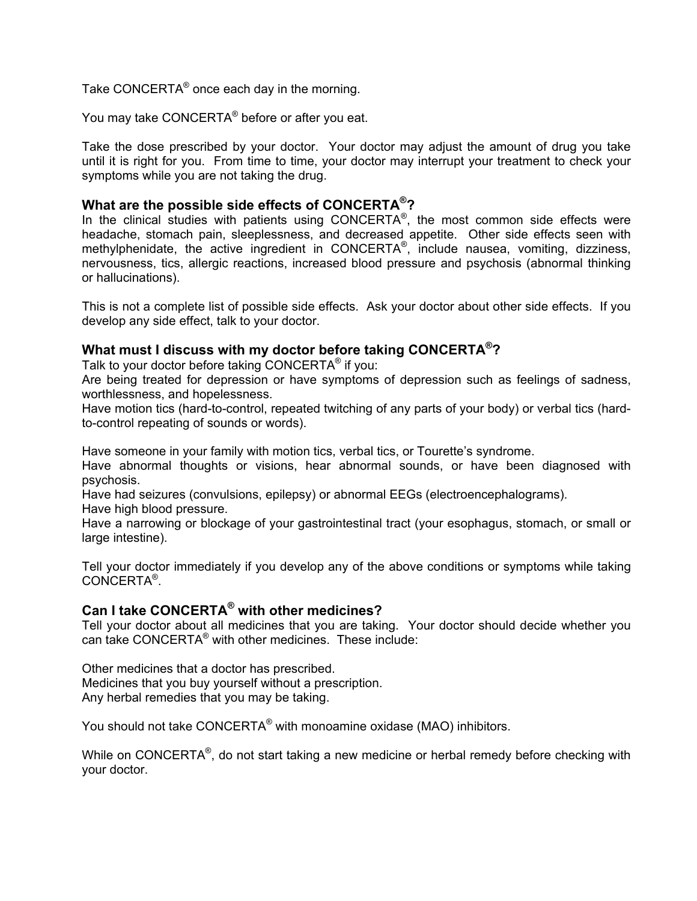Take CONCERTA® once each day in the morning.

You may take CONCERTA<sup>®</sup> before or after you eat.

Take the dose prescribed by your doctor. Your doctor may adjust the amount of drug you take until it is right for you. From time to time, your doctor may interrupt your treatment to check your symptoms while you are not taking the drug.

### **What are the possible side effects of CONCERTA®?**

In the clinical studies with patients using CONCERTA<sup>®</sup>, the most common side effects were headache, stomach pain, sleeplessness, and decreased appetite. Other side effects seen with methylphenidate, the active ingredient in CONCERTA®, include nausea, vomiting, dizziness, nervousness, tics, allergic reactions, increased blood pressure and psychosis (abnormal thinking or hallucinations).

This is not a complete list of possible side effects. Ask your doctor about other side effects. If you develop any side effect, talk to your doctor.

# **What must I discuss with my doctor before taking CONCERTA®?**

Talk to your doctor before taking CONCERTA® if you:

Are being treated for depression or have symptoms of depression such as feelings of sadness, worthlessness, and hopelessness.

Have motion tics (hard-to-control, repeated twitching of any parts of your body) or verbal tics (hardto-control repeating of sounds or words).

Have someone in your family with motion tics, verbal tics, or Tourette's syndrome.

Have abnormal thoughts or visions, hear abnormal sounds, or have been diagnosed with psychosis.

Have had seizures (convulsions, epilepsy) or abnormal EEGs (electroencephalograms).

Have high blood pressure.

Have a narrowing or blockage of your gastrointestinal tract (your esophagus, stomach, or small or large intestine).

Tell your doctor immediately if you develop any of the above conditions or symptoms while taking CONCERTA®.

# **Can I take CONCERTA® with other medicines?**

Tell your doctor about all medicines that you are taking. Your doctor should decide whether you can take CONCERTA® with other medicines. These include:

Other medicines that a doctor has prescribed. Medicines that you buy yourself without a prescription. Any herbal remedies that you may be taking.

You should not take CONCERTA® with monoamine oxidase (MAO) inhibitors.

While on CONCERTA®, do not start taking a new medicine or herbal remedy before checking with your doctor.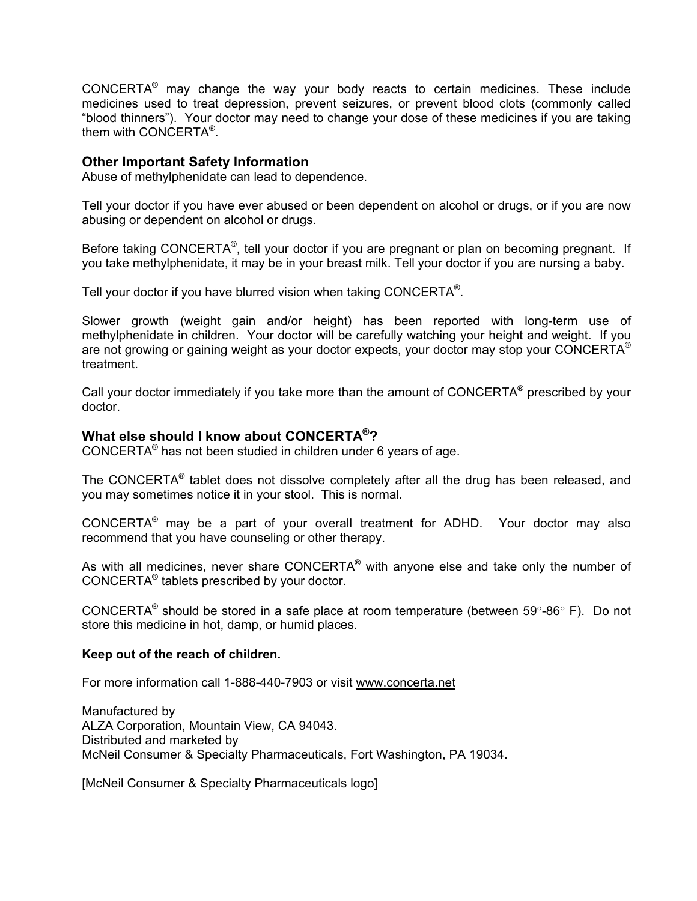CONCERTA® may change the way your body reacts to certain medicines. These include medicines used to treat depression, prevent seizures, or prevent blood clots (commonly called "blood thinners"). Your doctor may need to change your dose of these medicines if you are taking them with CONCERTA®.

#### **Other Important Safety Information**

Abuse of methylphenidate can lead to dependence.

Tell your doctor if you have ever abused or been dependent on alcohol or drugs, or if you are now abusing or dependent on alcohol or drugs.

Before taking CONCERTA<sup>®</sup>, tell your doctor if you are pregnant or plan on becoming pregnant. If you take methylphenidate, it may be in your breast milk. Tell your doctor if you are nursing a baby.

Tell your doctor if you have blurred vision when taking CONCERTA®.

Slower growth (weight gain and/or height) has been reported with long-term use of methylphenidate in children. Your doctor will be carefully watching your height and weight. If you are not growing or gaining weight as your doctor expects, your doctor may stop your CONCERTA<sup>®</sup> treatment.

Call your doctor immediately if you take more than the amount of CONCERTA<sup>®</sup> prescribed by your doctor.

### **What else should I know about CONCERTA®?**

CONCERTA® has not been studied in children under 6 years of age.

The CONCERTA<sup>®</sup> tablet does not dissolve completely after all the drug has been released, and you may sometimes notice it in your stool. This is normal.

CONCERTA® may be a part of your overall treatment for ADHD. Your doctor may also recommend that you have counseling or other therapy.

As with all medicines, never share CONCERTA<sup>®</sup> with anyone else and take only the number of CONCERTA® tablets prescribed by your doctor.

CONCERTA® should be stored in a safe place at room temperature (between 59°-86° F). Do not store this medicine in hot, damp, or humid places.

#### **Keep out of the reach of children.**

For more information call 1-888-440-7903 or visit www.concerta.net

Manufactured by ALZA Corporation, Mountain View, CA 94043. Distributed and marketed by McNeil Consumer & Specialty Pharmaceuticals, Fort Washington, PA 19034.

[McNeil Consumer & Specialty Pharmaceuticals logo]